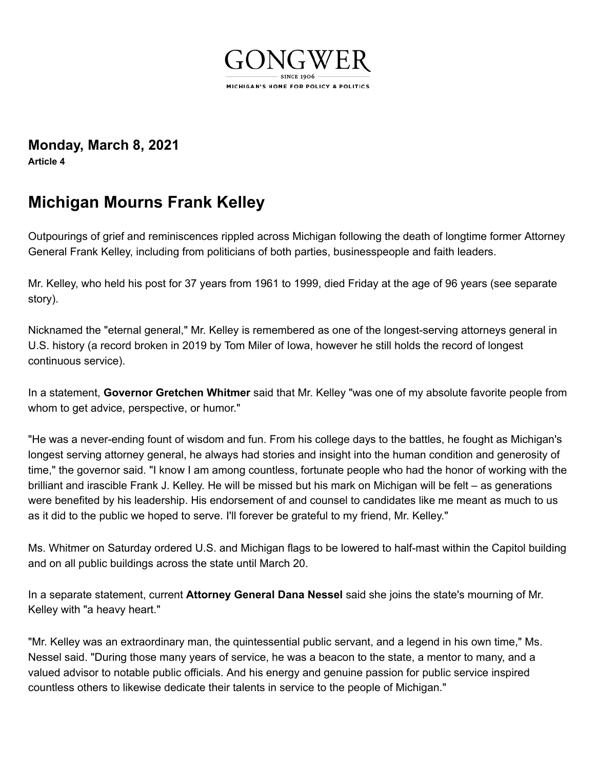

**[Monday,](https://www.gongwer.com/news/index.cfm?n=6004501) March 8, 2021**

**Article 4**

## **Michigan Mourns Frank Kelley**

Outpourings of grief and reminiscences rippled across Michigan following the death of longtime former Attorney General Frank Kelley, including from politicians of both parties, businesspeople and faith leaders.

Mr. Kelley, who held his post for 37 years from 1961 to 1999, died Friday at the age of 96 years (see separate story).

Nicknamed the "eternal general," Mr. Kelley is remembered as one of the longest-serving attorneys general in U.S. history (a record broken in 2019 by Tom Miler of Iowa, however he still holds the record of longest continuous service).

In a statement, **[Governor Gretchen Whitmer](https://www.gongwer.com/directories/bio.cfm?nameid=60101)** said that Mr. Kelley "was one of my absolute favorite people from whom to get advice, perspective, or humor."

"He was a never-ending fount of wisdom and fun. From his college days to the battles, he fought as Michigan's longest serving attorney general, he always had stories and insight into the human condition and generosity of time," the governor said. "I know I am among countless, fortunate people who had the honor of working with the brilliant and irascible Frank J. Kelley. He will be missed but his mark on Michigan will be felt – as generations were benefited by his leadership. His endorsement of and counsel to candidates like me meant as much to us as it did to the public we hoped to serve. I'll forever be grateful to my friend, Mr. Kelley."

Ms. Whitmer on Saturday ordered U.S. and Michigan flags to be lowered to half-mast within the Capitol building and on all public buildings across the state until March 20.

In a separate statement, current **[Attorney General Dana Nessel](https://www.gongwer.com/directories/bio.cfm?nameid=505101)** said she joins the state's mourning of Mr. Kelley with "a heavy heart."

"Mr. Kelley was an extraordinary man, the quintessential public servant, and a legend in his own time," Ms. Nessel said. "During those many years of service, he was a beacon to the state, a mentor to many, and a valued advisor to notable public officials. And his energy and genuine passion for public service inspired countless others to likewise dedicate their talents in service to the people of Michigan."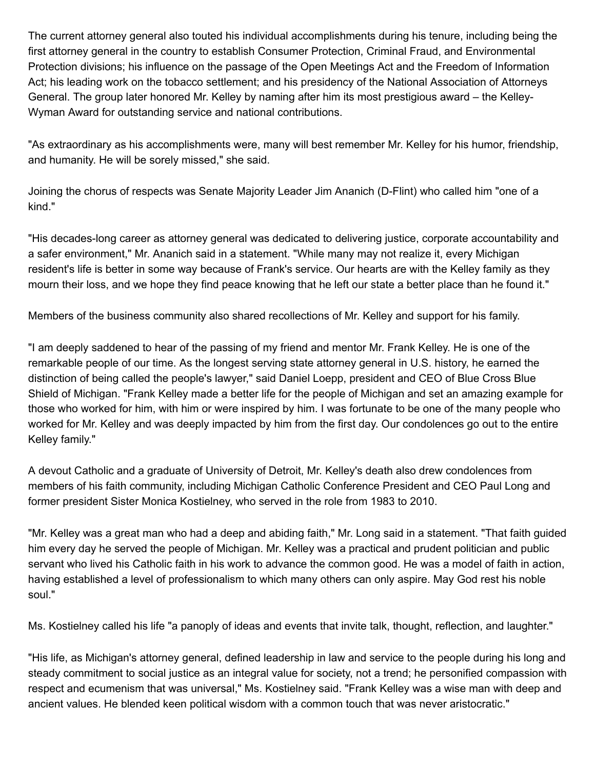The current attorney general also touted his individual accomplishments during his tenure, including being the first attorney general in the country to establish Consumer Protection, Criminal Fraud, and Environmental Protection divisions; his influence on the passage of the Open Meetings Act and the Freedom of Information Act; his leading work on the tobacco settlement; and his presidency of the National Association of Attorneys General. The group later honored Mr. Kelley by naming after him its most prestigious award – the Kelley-Wyman Award for outstanding service and national contributions.

"As extraordinary as his accomplishments were, many will best remember Mr. Kelley for his humor, friendship, and humanity. He will be sorely missed," she said.

Joining the chorus of respects was Senate Majority Leader Jim Ananich (D-Flint) who called him "one of a kind."

"His decades-long career as attorney general was dedicated to delivering justice, corporate accountability and a safer environment," Mr. Ananich said in a statement. "While many may not realize it, every Michigan resident's life is better in some way because of Frank's service. Our hearts are with the Kelley family as they mourn their loss, and we hope they find peace knowing that he left our state a better place than he found it."

Members of the business community also shared recollections of Mr. Kelley and support for his family.

"I am deeply saddened to hear of the passing of my friend and mentor Mr. Frank Kelley. He is one of the remarkable people of our time. As the longest serving state attorney general in U.S. history, he earned the distinction of being called the people's lawyer," said Daniel Loepp, president and CEO of Blue Cross Blue Shield of Michigan. "Frank Kelley made a better life for the people of Michigan and set an amazing example for those who worked for him, with him or were inspired by him. I was fortunate to be one of the many people who worked for Mr. Kelley and was deeply impacted by him from the first day. Our condolences go out to the entire Kelley family."

A devout Catholic and a graduate of University of Detroit, Mr. Kelley's death also drew condolences from members of his faith community, including Michigan Catholic Conference President and CEO Paul Long and former president Sister Monica Kostielney, who served in the role from 1983 to 2010.

"Mr. Kelley was a great man who had a deep and abiding faith," Mr. Long said in a statement. "That faith guided him every day he served the people of Michigan. Mr. Kelley was a practical and prudent politician and public servant who lived his Catholic faith in his work to advance the common good. He was a model of faith in action, having established a level of professionalism to which many others can only aspire. May God rest his noble soul."

Ms. Kostielney called his life "a panoply of ideas and events that invite talk, thought, reflection, and laughter."

"His life, as Michigan's attorney general, defined leadership in law and service to the people during his long and steady commitment to social justice as an integral value for society, not a trend; he personified compassion with respect and ecumenism that was universal," Ms. Kostielney said. "Frank Kelley was a wise man with deep and ancient values. He blended keen political wisdom with a common touch that was never aristocratic."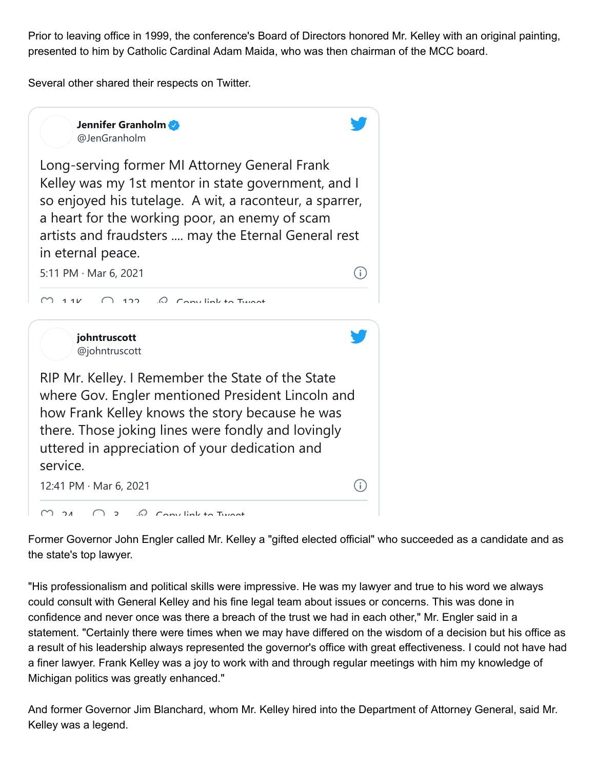Prior to leaving office in 1999, the conference's Board of Directors honored Mr. Kelley with an original painting, presented to him by Catholic Cardinal Adam Maida, who was then chairman of the MCC board.

Several other shared their respects on Twitter.



Former Governor John Engler called Mr. Kelley a "gifted elected official" who succeeded as a candidate and as the state's top lawyer.

"His professionalism and political skills were impressive. He was my lawyer and true to his word we always could consult with General Kelley and his fine legal team about issues or concerns. This was done in confidence and never once was there a breach of the trust we had in each other," Mr. Engler said in a statement. "Certainly there were times when we may have differed on the wisdom of a decision but his office as a result of his leadership always represented the governor's office with great effectiveness. I could not have had a finer lawyer. Frank Kelley was a joy to work with and through regular meetings with him my knowledge of Michigan politics was greatly enhanced."

And former Governor Jim Blanchard, whom Mr. Kelley hired into the Department of Attorney General, said Mr. Kelley was a legend.